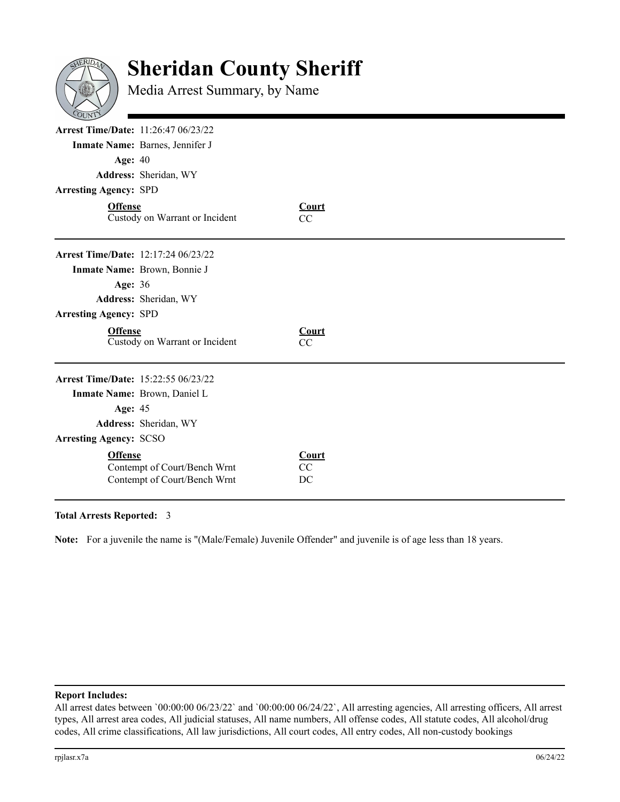

## **Sheridan County Sheriff**

Media Arrest Summary, by Name

| <b>Arrest Time/Date: 11:26:47 06/23/22</b><br><b>Age: 40</b> |                                 |                    |  |
|--------------------------------------------------------------|---------------------------------|--------------------|--|
|                                                              |                                 |                    |  |
|                                                              | Inmate Name: Barnes, Jennifer J |                    |  |
|                                                              |                                 |                    |  |
|                                                              | Address: Sheridan, WY           |                    |  |
| <b>Arresting Agency: SPD</b>                                 |                                 |                    |  |
| <b>Offense</b>                                               | Custody on Warrant or Incident  | <b>Court</b><br>CC |  |
| <b>Arrest Time/Date: 12:17:24 06/23/22</b>                   |                                 |                    |  |
|                                                              | Inmate Name: Brown, Bonnie J    |                    |  |
| <b>Age: 36</b>                                               |                                 |                    |  |
|                                                              | Address: Sheridan, WY           |                    |  |
| <b>Arresting Agency: SPD</b>                                 |                                 |                    |  |
| <b>Offense</b>                                               | Custody on Warrant or Incident  | Court<br>CC        |  |
| Arrest Time/Date: 15:22:55 06/23/22                          |                                 |                    |  |
|                                                              | Inmate Name: Brown, Daniel L    |                    |  |
| Age: 45                                                      |                                 |                    |  |
|                                                              | Address: Sheridan, WY           |                    |  |
|                                                              |                                 |                    |  |
| <b>Arresting Agency: SCSO</b>                                |                                 |                    |  |

## **Total Arrests Reported:**  3

Note: For a juvenile the name is "(Male/Female) Juvenile Offender" and juvenile is of age less than 18 years.

## **Report Includes:**

All arrest dates between `00:00:00 06/23/22` and `00:00:00 06/24/22`, All arresting agencies, All arresting officers, All arrest types, All arrest area codes, All judicial statuses, All name numbers, All offense codes, All statute codes, All alcohol/drug codes, All crime classifications, All law jurisdictions, All court codes, All entry codes, All non-custody bookings